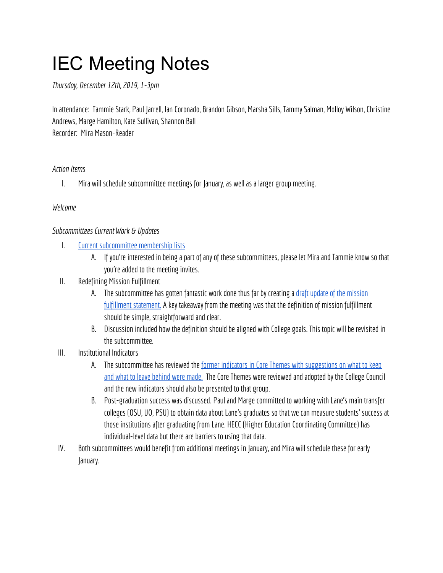# IEC Meeting Notes

*Thursday, December 12th, 2019, 1-3pm*

In attendance: Tammie Stark, Paul Jarrell, Ian Coronado, Brandon Gibson, Marsha Sills, Tammy Salman, Molloy Wilson, Christine Andrews, Marge Hamilton, Kate Sullivan, Shannon Ball Recorder: Mira Mason-Reader

### Action Items

I. Mira will schedule subcommittee meetings for January, as well as a largergroup meeting.

#### *Welcome*

#### *Subcommittees Current Work & Updates*

- I. Current subcommittee [membershiplists](https://docs.google.com/spreadsheets/d/1YFyajZa_Z0S2yZjCa69b2Vgg0rsqwYMw30vtgkRBlMo/edit#gid=0)
	- A. If you're interested in being a part of any of these subcommittees, please let Mira and Tammie know so that you're added to the meeting invites.
- II. Redefining Mission Fulfillment
	- A. The subcommittee has gotten fantastic work done thus far by creating a draft update of the mission fulfillment [statement.](https://docs.google.com/document/d/1USQ4eto1LwP3Sl_344T-iRWn7AXtKtkaQO0ecQMR8Fo/edit) A key takeaway from the meeting was that the definition of mission fulfillment should be simple, straightforward and clear.
	- B. Discussion included how the definition should be aligned with College goals. This topic will be revisited in the subcommittee.
- III. Institutional Indicators
	- A. The subcommittee has reviewed the former indicators in Core Themes with suggestions on what to keep and what to leave [behind](https://docs.google.com/document/d/18H9wC7V0Xr7n2Evy5s63GfVSaW1BhagY6CkJ3sZDJOg/edit) were made. The Core Themes were reviewed and adopted by the College Council and the new indicators should also be presented to that group.
	- B. Post-graduation success was discussed. Paul and Marge committed to working with Lane's main transfer colleges (OSU, UO, PSU) to obtain data about Lane's graduates so that we can measure students' success at those institutions after graduating from Lane. HECC (Higher Education Coordinating Committee) has individual-level data but there are barriers to using that data.
- IV. Both subcommittees would benefit from additional meetings in January, and Mira will schedule these for early January.